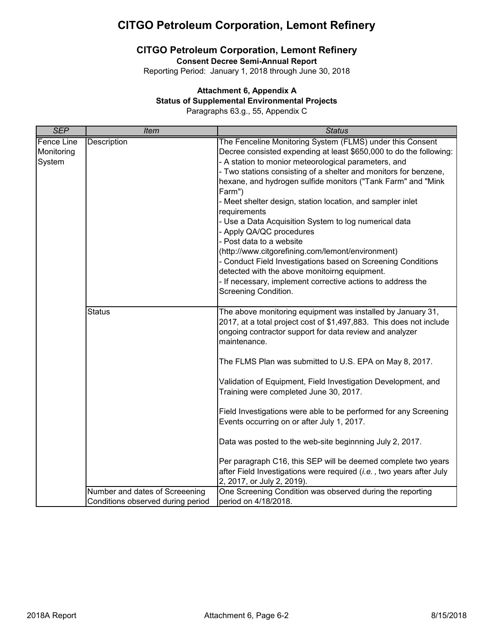# **CITGO Petroleum Corporation, Lemont Refinery**

**Consent Decree Semi-Annual Report**

Reporting Period: January 1, 2018 through June 30, 2018

## **Attachment 6, Appendix A**

### **Status of Supplemental Environmental Projects**

Paragraphs 63.g., 55, Appendix C

| <b>SEP</b>                                | <b>Item</b>                                                         | <b>Status</b>                                                                                                                                                                                                                                                                                                                                                                                                                                                                                                                                                                                                                                                                                                                                                                                     |
|-------------------------------------------|---------------------------------------------------------------------|---------------------------------------------------------------------------------------------------------------------------------------------------------------------------------------------------------------------------------------------------------------------------------------------------------------------------------------------------------------------------------------------------------------------------------------------------------------------------------------------------------------------------------------------------------------------------------------------------------------------------------------------------------------------------------------------------------------------------------------------------------------------------------------------------|
| <b>Fence Line</b><br>Monitoring<br>System | Description                                                         | The Fenceline Monitoring System (FLMS) under this Consent<br>Decree consisted expending at least \$650,000 to do the following:<br>- A station to monior meteorological parameters, and<br>- Two stations consisting of a shelter and monitors for benzene,<br>hexane, and hydrogen sulfide monitors ("Tank Farm" and "Mink<br>Farm")<br>- Meet shelter design, station location, and sampler inlet<br>requirements<br>- Use a Data Acquisition System to log numerical data<br>- Apply QA/QC procedures<br>- Post data to a website<br>(http://www.citgorefining.com/lemont/environment)<br>- Conduct Field Investigations based on Screening Conditions<br>detected with the above monitoirng equipment.<br>- If necessary, implement corrective actions to address the<br>Screening Condition. |
|                                           | <b>Status</b>                                                       | The above monitoring equipment was installed by January 31,<br>2017, at a total project cost of \$1,497,883. This does not include<br>ongoing contractor support for data review and analyzer<br>maintenance.<br>The FLMS Plan was submitted to U.S. EPA on May 8, 2017.<br>Validation of Equipment, Field Investigation Development, and<br>Training were completed June 30, 2017.<br>Field Investigations were able to be performed for any Screening<br>Events occurring on or after July 1, 2017.<br>Data was posted to the web-site beginnning July 2, 2017.                                                                                                                                                                                                                                 |
|                                           |                                                                     | Per paragraph C16, this SEP will be deemed complete two years<br>after Field Investigations were required (i.e., two years after July<br>2, 2017, or July 2, 2019).                                                                                                                                                                                                                                                                                                                                                                                                                                                                                                                                                                                                                               |
|                                           | Number and dates of Screeening<br>Conditions observed during period | One Screening Condition was observed during the reporting<br>period on 4/18/2018.                                                                                                                                                                                                                                                                                                                                                                                                                                                                                                                                                                                                                                                                                                                 |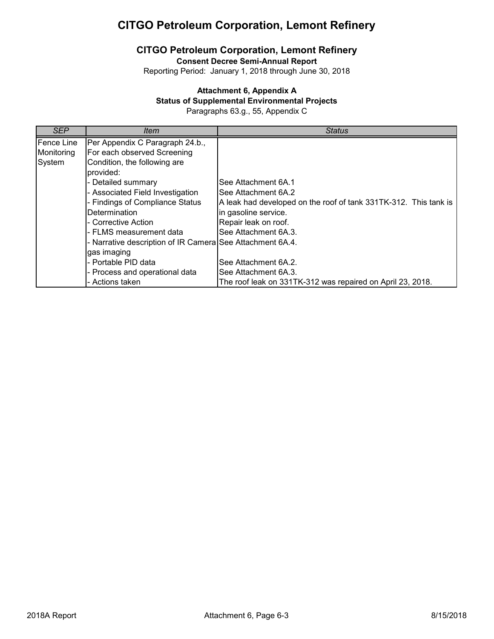# **CITGO Petroleum Corporation, Lemont Refinery**

**Consent Decree Semi-Annual Report**

Reporting Period: January 1, 2018 through June 30, 2018

### **Attachment 6, Appendix A**

### **Status of Supplemental Environmental Projects**

Paragraphs 63.g., 55, Appendix C

| SEP               | <i>Item</i>                                               | <b>Status</b>                                                    |
|-------------------|-----------------------------------------------------------|------------------------------------------------------------------|
| <b>Fence Line</b> | Per Appendix C Paragraph 24.b.,                           |                                                                  |
| Monitoring        | For each observed Screening                               |                                                                  |
| System            | Condition, the following are                              |                                                                  |
|                   | provided:                                                 |                                                                  |
|                   | - Detailed summary                                        | See Attachment 6A.1                                              |
|                   | - Associated Field Investigation                          | See Attachment 6A.2                                              |
|                   | - Findings of Compliance Status                           | A leak had developed on the roof of tank 331TK-312. This tank is |
|                   | <b>Determination</b>                                      | in gasoline service.                                             |
|                   | - Corrective Action                                       | Repair leak on roof.                                             |
|                   | - FLMS measurement data                                   | See Attachment 6A.3.                                             |
|                   | - Narrative description of IR Camera See Attachment 6A.4. |                                                                  |
|                   | gas imaging                                               |                                                                  |
|                   | - Portable PID data                                       | See Attachment 6A.2.                                             |
|                   | - Process and operational data                            | See Attachment 6A.3.                                             |
|                   | - Actions taken                                           | The roof leak on 331TK-312 was repaired on April 23, 2018.       |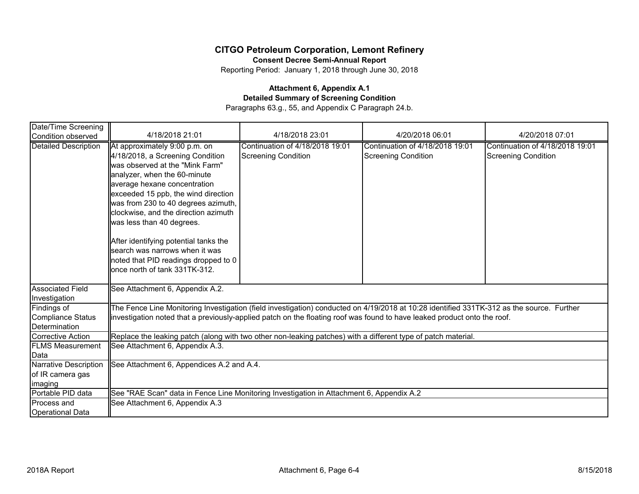**Consent Decree Semi-Annual Report**

Reporting Period: January 1, 2018 through June 30, 2018

### **Attachment 6, Appendix A.1 Detailed Summary of Screening Condition** Paragraphs 63.g., 55, and Appendix C Paragraph 24.b.

| Date/Time Screening                                      |                                                                                                                                                                                                                                                                                                                                                                                                                                                                             |                                                               |                                                               |                                                               |  |  |
|----------------------------------------------------------|-----------------------------------------------------------------------------------------------------------------------------------------------------------------------------------------------------------------------------------------------------------------------------------------------------------------------------------------------------------------------------------------------------------------------------------------------------------------------------|---------------------------------------------------------------|---------------------------------------------------------------|---------------------------------------------------------------|--|--|
| Condition observed                                       | 4/18/2018 21:01                                                                                                                                                                                                                                                                                                                                                                                                                                                             | 4/18/2018 23:01                                               | 4/20/2018 06:01                                               | 4/20/2018 07:01                                               |  |  |
| <b>Detailed Description</b>                              | At approximately 9:00 p.m. on<br>4/18/2018, a Screening Condition<br>was observed at the "Mink Farm"<br>analyzer, when the 60-minute<br>average hexane concentration<br>exceeded 15 ppb, the wind direction<br>was from 230 to 40 degrees azimuth,<br>clockwise, and the direction azimuth<br>was less than 40 degrees.<br>After identifying potential tanks the<br>search was narrows when it was<br>noted that PID readings dropped to 0<br>once north of tank 331TK-312. | Continuation of 4/18/2018 19:01<br><b>Screening Condition</b> | Continuation of 4/18/2018 19:01<br><b>Screening Condition</b> | Continuation of 4/18/2018 19:01<br><b>Screening Condition</b> |  |  |
| <b>Associated Field</b><br>Investigation                 | See Attachment 6, Appendix A.2.                                                                                                                                                                                                                                                                                                                                                                                                                                             |                                                               |                                                               |                                                               |  |  |
| Findings of<br><b>Compliance Status</b><br>Determination | The Fence Line Monitoring Investigation (field investigation) conducted on 4/19/2018 at 10:28 identified 331TK-312 as the source. Further<br>investigation noted that a previously-applied patch on the floating roof was found to have leaked product onto the roof.                                                                                                                                                                                                       |                                                               |                                                               |                                                               |  |  |
| Corrective Action                                        | Replace the leaking patch (along with two other non-leaking patches) with a different type of patch material.                                                                                                                                                                                                                                                                                                                                                               |                                                               |                                                               |                                                               |  |  |
| <b>FLMS Measurement</b><br>Data                          | See Attachment 6, Appendix A.3.                                                                                                                                                                                                                                                                                                                                                                                                                                             |                                                               |                                                               |                                                               |  |  |
| Narrative Description                                    | See Attachment 6, Appendices A.2 and A.4.                                                                                                                                                                                                                                                                                                                                                                                                                                   |                                                               |                                                               |                                                               |  |  |
| of IR camera gas                                         |                                                                                                                                                                                                                                                                                                                                                                                                                                                                             |                                                               |                                                               |                                                               |  |  |
| imaging                                                  |                                                                                                                                                                                                                                                                                                                                                                                                                                                                             |                                                               |                                                               |                                                               |  |  |
| Portable PID data                                        | See "RAE Scan" data in Fence Line Monitoring Investigation in Attachment 6, Appendix A.2                                                                                                                                                                                                                                                                                                                                                                                    |                                                               |                                                               |                                                               |  |  |
| Process and                                              | See Attachment 6, Appendix A.3                                                                                                                                                                                                                                                                                                                                                                                                                                              |                                                               |                                                               |                                                               |  |  |
| <b>Operational Data</b>                                  |                                                                                                                                                                                                                                                                                                                                                                                                                                                                             |                                                               |                                                               |                                                               |  |  |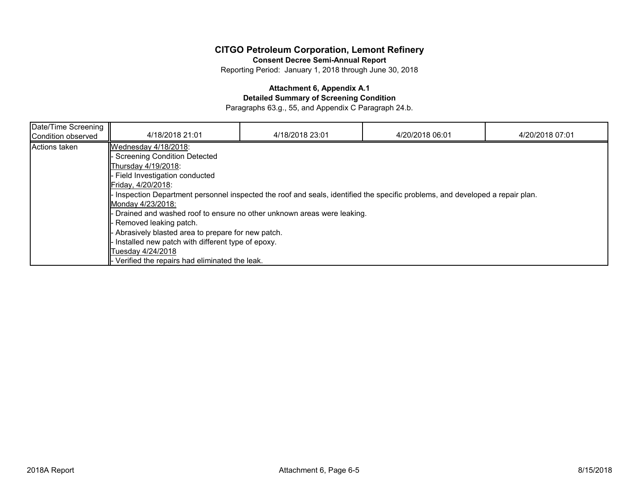**Consent Decree Semi-Annual Report**

Reporting Period: January 1, 2018 through June 30, 2018

### **Attachment 6, Appendix A.1**

**Detailed Summary of Screening Condition**

Paragraphs 63.g., 55, and Appendix C Paragraph 24.b.

| Date/Time Screening<br>Condition observed | 4/18/2018 21:01                                                                                                                                                                                                                                                                                                                                                                                                                                                                                                                                                                    | 4/18/2018 23:01 | 4/20/2018 06:01 | 4/20/2018 07:01 |
|-------------------------------------------|------------------------------------------------------------------------------------------------------------------------------------------------------------------------------------------------------------------------------------------------------------------------------------------------------------------------------------------------------------------------------------------------------------------------------------------------------------------------------------------------------------------------------------------------------------------------------------|-----------------|-----------------|-----------------|
| Actions taken                             | Wednesday 4/18/2018:<br><b>Screening Condition Detected</b><br>Thursdav 4/19/2018:<br>Field Investigation conducted<br>Friday, 4/20/2018:<br>Inspection Department personnel inspected the roof and seals, identified the specific problems, and developed a repair plan.<br>Monday 4/23/2018:<br>Drained and washed roof to ensure no other unknown areas were leaking.<br>Removed leaking patch.<br>Abrasively blasted area to prepare for new patch.<br>Installed new patch with different type of epoxy.<br>Tuesday 4/24/2018<br>Verified the repairs had eliminated the leak. |                 |                 |                 |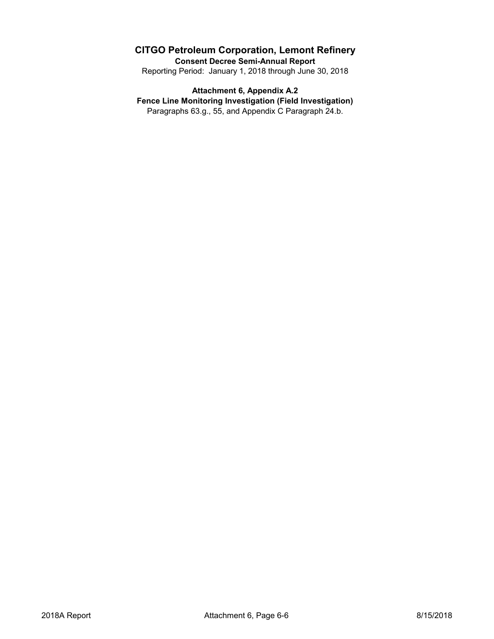**Consent Decree Semi-Annual Report**

Reporting Period: January 1, 2018 through June 30, 2018

# **Attachment 6, Appendix A.2**

**Fence Line Monitoring Investigation (Field Investigation)**

Paragraphs 63.g., 55, and Appendix C Paragraph 24.b.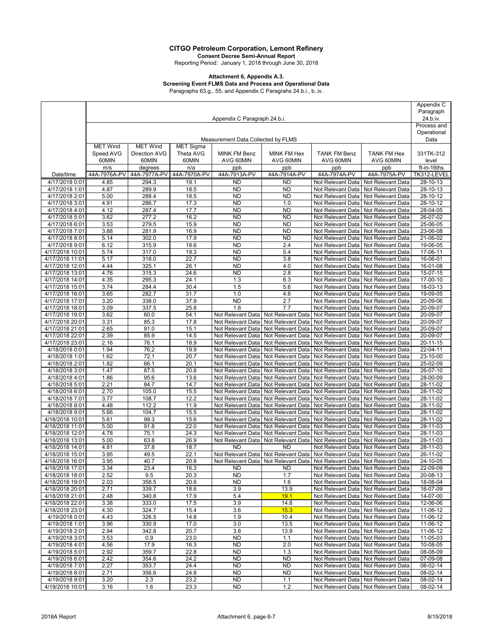**Consent Decree Semi-Annual Report** Reporting Period: January 1, 2018 through June 30, 2018

#### **Attachment 6, Appendix A.3.**

## **Screening Event FLMS Data and Process and Operational Data**

Paragraphs 63.g., 55, and Appendix C Paragrahs 24.b.i., b..iv.

|                                    |                              |                 |                  |                                        |                                                                               | Appendix C                             |                                                            |                      |
|------------------------------------|------------------------------|-----------------|------------------|----------------------------------------|-------------------------------------------------------------------------------|----------------------------------------|------------------------------------------------------------|----------------------|
|                                    |                              |                 |                  |                                        |                                                                               |                                        |                                                            | Paragraph            |
|                                    | Appendix C Paragraph 24.b.i. |                 |                  |                                        |                                                                               |                                        | 24.b.iv.<br>Process and                                    |                      |
|                                    |                              |                 |                  |                                        |                                                                               |                                        |                                                            | Operational          |
|                                    |                              |                 |                  | Measurement Data Collected by FLMS     |                                                                               |                                        |                                                            | Data                 |
|                                    | <b>MET Wind</b>              | <b>MET Wind</b> | <b>MET Sigma</b> |                                        |                                                                               |                                        |                                                            |                      |
|                                    | Speed AVG                    | Direction AVG   | Theta AVG        | <b>MINK FM Benz</b>                    | MINK FM Hex                                                                   | <b>TANK FM Benz</b>                    | <b>TANK FM Hex</b>                                         | 331TK-312            |
|                                    | 60MIN                        | 60MIN           | 60MIN            | AVG 60MIN                              | AVG 60MIN                                                                     | AVG 60MIN                              | AVG 60MIN                                                  | level                |
|                                    | m/s                          | degrees         | n/a              | ppb                                    | ppb                                                                           | ppb                                    | ppb                                                        | ft-in-16ths          |
| Date/time                          | 44A-7976A-PV                 | 44A-7977A-PV    | 44A-7970A-PV     | 44A-7913A-PV                           | 44A-7914A-PV                                                                  | 44A-7974A-PV                           | 44A-7975A-PV                                               | TK312-LEVEL          |
| 4/17/2018 0:01                     | 4.85                         | 294.3           | 19.1             | <b>ND</b>                              | <b>ND</b>                                                                     | Not Relevant Data                      | Not Relevant Data                                          | $28 - 10 - 13$       |
| 4/17/2018 1:01                     | 4.87                         | 289.9           | 18.5             | <b>ND</b>                              | <b>ND</b>                                                                     | Not Relevant Data                      | Not Relevant Data                                          | 28-10-13             |
| 4/17/2018 2:01                     | 5.00                         | 288.4           | 18.5             | <b>ND</b>                              | <b>ND</b>                                                                     | Not Relevant Data                      | Not Relevant Data                                          | 28-10-12             |
| 4/17/2018 3:01<br>4/17/2018 4:01   | 4.91<br>4.12                 | 286.7<br>287.4  | 17.3<br>17.7     | <b>ND</b><br><b>ND</b>                 | 1.0<br><b>ND</b>                                                              | Not Relevant Data                      | Not Relevant Data<br>Not Relevant Data                     | 28-10-12<br>28-04-05 |
| 4/17/2018 5:01                     | 3.62                         | 277.2           | 16.2             | <b>ND</b>                              | <b>ND</b>                                                                     | Not Relevant Data<br>Not Relevant Data | Not Relevant Data                                          | 26-07-02             |
| 4/17/2018 6:01                     | 3.53                         | 279.5           | 15.9             | <b>ND</b>                              | <b>ND</b>                                                                     | Not Relevant Data                      | Not Relevant Data                                          | 25-06-05             |
| 4/17/2018 7:01                     | 3.88                         | 281.9           | 16.9             | <b>ND</b>                              | <b>ND</b>                                                                     | Not Relevant Data                      | Not Relevant Data                                          | 23-06-08             |
| 4/17/2018 8:01                     | 5.14                         | 302.0           | 17.9             | <b>ND</b>                              | <b>ND</b>                                                                     | Not Relevant Data                      | Not Relevant Data                                          | 21-06-02             |
| 4/17/2018 9:01                     | 6.12                         | 315.9           | 18.6             | <b>ND</b>                              | 2.4                                                                           | Not Relevant Data                      | Not Relevant Data                                          | 19-06-05             |
| 4/17/2018 10:01                    | 5.74                         | 317.0           | 19.3             | <b>ND</b>                              | 5.4                                                                           | Not Relevant Data                      | Not Relevant Data                                          | 17-06-11             |
| 4/17/2018 11:01                    | 5.17                         | 318.0           | 22.7             | <b>ND</b>                              | 3.8                                                                           | Not Relevant Data                      | Not Relevant Data                                          | 16-06-01             |
| 4/17/2018 12:01                    | 4.44                         | 325.1           | 26.1             | <b>ND</b>                              | 4.0                                                                           | Not Relevant Data                      | Not Relevant Data                                          | 16-01-08             |
| 4/17/2018 13:01                    | 4.76                         | 315.3           | 24.6             | <b>ND</b>                              | 2.8                                                                           | Not Relevant Data                      | Not Relevant Data                                          | 15-07-15             |
| 4/17/2018 14:01                    | 4.35                         | 295.3           | 24.1             | 1.3                                    | 6.3                                                                           | Not Relevant Data                      | Not Relevant Data                                          | 17-00-10             |
| 4/17/2018 15:01                    | 3.74                         | 284.4           | 30.4             | 1.5                                    | 5.6                                                                           | Not Relevant Data                      | Not Relevant Data                                          | 18-03-13             |
| 4/17/2018 16:01                    | 3.65                         | 282.7           | 31.7             | 1.0                                    | 4.6                                                                           | Not Relevant Data                      | Not Relevant Data                                          | 19-09-05             |
| 4/17/2018 17:01<br>4/17/2018 18:01 | 3.20<br>3.09                 | 338.0<br>337.5  | 37.9<br>25.8     | <b>ND</b><br>1.6                       | 2.7<br>7.7                                                                    | Not Relevant Data<br>Not Relevant Data | Not Relevant Data<br>Not Relevant Data                     | 20-09-06<br>20-09-07 |
| 4/17/2018 19:01                    | 3.62                         | 60.0            | 54.1             | Not Relevant Data                      | Not Relevant Data                                                             | Not Relevant Data                      | Not Relevant Data                                          | 20-09-07             |
| 4/17/2018 20:01                    | 3.31                         | 85.3            | 17.8             | Not Relevant Data                      | Not Relevant Data                                                             | Not Relevant Data                      | Not Relevant Data                                          | 20-09-07             |
| 4/17/2018 21:01                    | 2.65                         | 91.0            | 15.1             | Not Relevant Data                      | Not Relevant Data                                                             | Not Relevant Data                      | Not Relevant Data                                          | 20-09-07             |
| 4/17/2018 22:01                    | 2.39                         | 85.9            | 14.5             | Not Relevant Data                      | Not Relevant Data                                                             | Not Relevant Data                      | Not Relevant Data                                          | 20-09-07             |
| 4/17/2018 23:01                    | 2.16                         | 76.1            | 18.9             | Not Relevant Data                      | Not Relevant Data                                                             | Not Relevant Data                      | Not Relevant Data                                          | 20-11-15             |
| 4/18/2018 0:01                     | 1.94                         | 76.2            | 19.9             | Not Relevant Data                      | Not Relevant Data                                                             | Not Relevant Data                      | Not Relevant Data                                          | 22-04-11             |
| 4/18/2018 1:01                     | 1.62                         | 72.1            | 20.7             | Not Relevant Data                      | Not Relevant Data                                                             | Not Relevant Data                      | Not Relevant Data                                          | 23-10-00             |
| 4/18/2018 2:01                     | 1.82                         | 66.1            | 20.1             | Not Relevant Data                      | Not Relevant Data                                                             | Not Relevant Data                      | Not Relevant Data                                          | 25-02-09             |
| 4/18/2018 3:01                     | 1.47                         | 87.5            | 20.8             | Not Relevant Data                      | Not Relevant Data                                                             | Not Relevant Data                      | Not Relevant Data                                          | 26-07-10             |
| 4/18/2018 4:01                     | 1.86                         | 95.6            | 13.6             | Not Relevant Data                      | Not Relevant Data                                                             | Not Relevant Data                      | Not Relevant Data                                          | 28-00-09             |
| 4/18/2018 5:01<br>4/18/2018 6:01   | 2.21<br>2.70                 | 84.7<br>105.0   | 14.7<br>15.5     | Not Relevant Data<br>Not Relevant Data | Not Relevant Data<br>Not Relevant Data                                        | Not Relevant Data<br>Not Relevant Data | Not Relevant Data<br>Not Relevant Data                     | 28-11-02<br>28-11-02 |
| 4/18/2018 7:01                     | 3.77                         | 108.7           | 12.2             | Not Relevant Data                      | Not Relevant Data                                                             | Not Relevant Data                      | Not Relevant Data                                          | 28-11-02             |
| 4/18/2018 8:01                     | 4.48                         | 112.2           | 11.9             | Not Relevant Data                      | Not Relevant Data                                                             | Not Relevant Data                      | Not Relevant Data                                          | 28-11-02             |
| 4/18/2018 9:01                     | 5.66                         | 104.7           | 15.5             | Not Relevant Data                      | Not Relevant Data                                                             | Not Relevant Data                      | Not Relevant Data                                          | 28-11-02             |
| 4/18/2018 10:01                    | 5.61                         | 99.3            | 15.6             | Not Relevant Data                      | Not Relevant Data                                                             | Not Relevant Data                      | Not Relevant Data                                          | 28-11-02             |
| 4/18/2018 11:01                    | 5.00                         | 91.8            | 22.0             | Not Relevant Data                      | Not Relevant Data                                                             | Not Relevant Data                      | Not Relevant Data                                          | 28-11-03             |
| 4/18/2018 12:01                    | 4.78                         | 75.1            | 24.3             | Not Relevant Data                      | Not Relevant Data                                                             | Not Relevant Data                      | Not Relevant Data                                          | 28-11-03             |
| 4/18/2018 13:01                    | 5.00                         | 63.8            | 26.9             | Not Relevant Data                      | Not Relevant Data                                                             | Not Relevant Data                      | Not Relevant Data                                          | 28-11-03             |
| 4/18/2018 14:01                    | 4.81                         | 37.8            | 18.7             | <b>ND</b>                              | <b>ND</b>                                                                     | Not Relevant Data                      | Not Relevant Data                                          | 28-11-03             |
| 4/18/2018 15:01                    | 3.95                         | 49.5            | 22.1             |                                        | Not Relevant Data   Not Relevant Data   Not Relevant Data   Not Relevant Data |                                        |                                                            | 26-11-02             |
| 4/18/2018 16:01                    | 3.95                         | 40.7            | 20.8             |                                        | Not Relevant Data   Not Relevant Data   Not Relevant Data   Not Relevant Data |                                        |                                                            | 24-10-05             |
| 4/18/2018 17:01<br>4/18/2018 18:01 | 3.34<br>2.52                 | 23.4<br>9.5     | 16.3<br>20.3     | ND<br><b>ND</b>                        | ND<br>1.7                                                                     | Not Relevant Data                      | Not Relevant Data   Not Relevant Data<br>Not Relevant Data | 22-09-09<br>20-08-13 |
| 4/18/2018 19:01                    | 2.03                         | 358.5           | 20.6             | <b>ND</b>                              | 1.6                                                                           | Not Relevant Data                      | Not Relevant Data                                          | 18-08-04             |
| 4/18/2018 20:01                    | 2.71                         | 339.7           | 18.6             | 3.9                                    | 13.9                                                                          |                                        | Not Relevant Data   Not Relevant Data                      | 16-07-09             |
| 4/18/2018 21:01                    | 2.48                         | 340.8           | 17.9             | 5.4                                    | 19.1                                                                          | Not Relevant Data                      | Not Relevant Data                                          | 14-07-00             |
| 4/18/2018 22:01                    | 3.38                         | 333.0           | 17.5             | 3.9                                    | 14.8                                                                          | Not Relevant Data                      | Not Relevant Data                                          | 12-06-06             |
| 4/18/2018 23:01                    | 4.30                         | 324.7           | 15.4             | 3.6                                    | 15.3                                                                          | Not Relevant Data                      | Not Relevant Data                                          | 11-06-12             |
| 4/19/2018 0:01                     | 4.43                         | 326.5           | 14.8             | 1.9                                    | 10.4                                                                          |                                        | Not Relevant Data Not Relevant Data                        | 11-06-12             |
| 4/19/2018 1:01                     | 3.96                         | 330.9           | 17.0             | 3.0                                    | 13.5                                                                          | Not Relevant Data                      | Not Relevant Data                                          | 11-06-12             |
| 4/19/2018 2:01                     | 2.94                         | 342.8           | 20.7             | 3.8                                    | 13.9                                                                          | Not Relevant Data                      | Not Relevant Data                                          | 11-06-12             |
| 4/19/2018 3:01                     | 3.53                         | 0.9             | 23.0             | <b>ND</b>                              | 1.1                                                                           | Not Relevant Data                      | Not Relevant Data                                          | 11-05-03             |
| 4/19/2018 4:01                     | 4.56                         | 17.9            | 16.3             | <b>ND</b>                              | 2.0                                                                           | Not Relevant Data                      | Not Relevant Data                                          | 10-08-05             |
| 4/19/2018 5:01<br>4/19/2018 6:01   | 2.92<br>2.42                 | 359.7<br>354.6  | 22.8<br>24.2     | <b>ND</b><br><b>ND</b>                 | 1.3<br><b>ND</b>                                                              | Not Relevant Data                      | Not Relevant Data Not Relevant Data<br>Not Relevant Data   | 08-08-09<br>07-09-08 |
| 4/19/2018 7:01                     | 2.27                         | 353.7           | 24.4             | <b>ND</b>                              | <b>ND</b>                                                                     | Not Relevant Data                      | Not Relevant Data                                          | 08-02-14             |
| 4/19/2018 8:01                     | 2.71                         | 356.6           | 24.8             | <b>ND</b>                              | <b>ND</b>                                                                     | Not Relevant Data                      | Not Relevant Data                                          | $08 - 02 - 14$       |
| 4/19/2018 9:01                     | 3.20                         | 2.3             | 23.2             | <b>ND</b>                              | 1.1                                                                           | Not Relevant Data                      | Not Relevant Data                                          | 08-02-14             |
| 4/19/2018 10:01                    | 3.16                         | 1.6             | 23.3             | <b>ND</b>                              | 1.2                                                                           |                                        | Not Relevant Data   Not Relevant Data                      | 08-02-14             |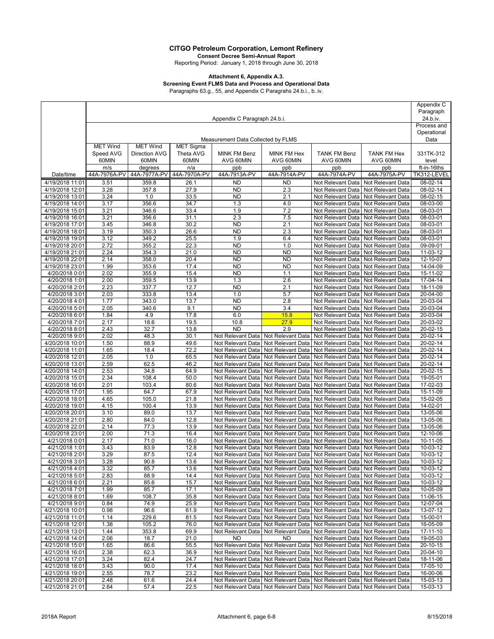**Consent Decree Semi-Annual Report** Reporting Period: January 1, 2018 through June 30, 2018

#### **Attachment 6, Appendix A.3.**

## **Screening Event FLMS Data and Process and Operational Data**

Paragraphs 63.g., 55, and Appendix C Paragrahs 24.b.i., b..iv.

|                                    |                              |                 |                  |                                        |                                                                                |                                                                               |                                        | Appendix C             |
|------------------------------------|------------------------------|-----------------|------------------|----------------------------------------|--------------------------------------------------------------------------------|-------------------------------------------------------------------------------|----------------------------------------|------------------------|
|                                    |                              |                 |                  |                                        |                                                                                |                                                                               | Paragraph                              |                        |
|                                    | Appendix C Paragraph 24.b.i. |                 |                  |                                        |                                                                                |                                                                               | 24.b.iv.<br>Process and                |                        |
|                                    |                              |                 |                  |                                        |                                                                                |                                                                               | Operational                            |                        |
|                                    |                              |                 |                  | Measurement Data Collected by FLMS     |                                                                                |                                                                               |                                        | Data                   |
|                                    | <b>MET Wind</b>              | <b>MET Wind</b> | <b>MET Sigma</b> |                                        |                                                                                |                                                                               |                                        |                        |
|                                    | Speed AVG                    | Direction AVG   | Theta AVG        | MINK FM Benz                           | MINK FM Hex                                                                    | <b>TANK FM Benz</b>                                                           | <b>TANK FM Hex</b>                     | 331TK-312              |
|                                    | 60MIN                        | 60MIN           | 60MIN            | AVG 60MIN                              | AVG 60MIN                                                                      | AVG 60MIN                                                                     | AVG 60MIN                              | level                  |
|                                    | m/s                          | degrees         | n/a              | ppb                                    | ppb                                                                            | ppb                                                                           | ppb                                    | ft-in-16ths            |
| Date/time                          | 44A-7976A-PV                 | 44A-7977A-PV    | 44A-7970A-PV     | 44A-7913A-PV                           | 44A-7914A-PV                                                                   | 44A-7974A-PV                                                                  | 44A-7975A-PV                           | TK312-LEVEL            |
| 4/19/2018 11:01                    | 3.51                         | 359.8           | 26.1             | <b>ND</b>                              | <b>ND</b>                                                                      | Not Relevant Data                                                             | Not Relevant Data<br>Not Relevant Data | 08-02-14               |
| 4/19/2018 12:01<br>4/19/2018 13:01 | 3.28<br>3.24                 | 357.8<br>1.0    | 27.9<br>33.5     | <b>ND</b><br><b>ND</b>                 | 2.3<br>2.1                                                                     | Not Relevant Data<br>Not Relevant Data                                        | Not Relevant Data                      | 08-02-14<br>$08-02-15$ |
| 4/19/2018 14:01                    | 3.17                         | 356.6           | 34.7             | 1.3                                    | 4.0                                                                            | Not Relevant Data                                                             | Not Relevant Data                      | 08-03-00               |
| 4/19/2018 15:01                    | 3.21                         | 346.6           | 33.4             | 1.9                                    | 7.2                                                                            | Not Relevant Data                                                             | Not Relevant Data                      | 08-03-01               |
| 4/19/2018 16:01                    | 3.21                         | 356.6           | 31.1             | 2.3                                    | 7.5                                                                            | Not Relevant Data                                                             | Not Relevant Data                      | 08-03-01               |
| 4/19/2018 17:01                    | 3.45                         | 346.8           | 30.2             | <b>ND</b>                              | 2.1                                                                            | Not Relevant Data                                                             | Not Relevant Data                      | $08 - 03 - 01$         |
| 4/19/2018 18:01                    | 3.19                         | 350.3           | 26.6             | <b>ND</b>                              | 2.3                                                                            | Not Relevant Data                                                             | Not Relevant Data                      | 08-03-01               |
| 4/19/2018 19:01                    | 3.12                         | 349.2           | 25.5             | 1.9                                    | 6.4                                                                            | Not Relevant Data                                                             | Not Relevant Data                      | 08-03-01               |
| 4/19/2018 20:01                    | 2.72                         | 355.2           | 22.3             | <b>ND</b>                              | 1.0                                                                            | Not Relevant Data                                                             | Not Relevant Data                      | 09-09-01               |
| 4/19/2018 21:01                    | 2.24                         | 354.3           | 21.0             | <b>ND</b>                              | <b>ND</b>                                                                      | Not Relevant Data                                                             | Not Relevant Data                      | 11-03-12               |
| 4/19/2018 22:01                    | 2.14                         | 358.0           | 20.4             | <b>ND</b>                              | <b>ND</b>                                                                      | Not Relevant Data                                                             | Not Relevant Data<br>Not Relevant Data | 12-10-07               |
| 4/19/2018 23:01<br>4/20/2018 0:01  | 1.99<br>2.02                 | 353.6<br>355.9  | 17.4<br>15.4     | <b>ND</b><br><b>ND</b>                 | <b>ND</b><br>1.1                                                               | Not Relevant Data<br>Not Relevant Data                                        | Not Relevant Data                      | 14-04-09<br>15-11-02   |
| 4/20/2018 1:01                     | 2.00                         | 359.5           | 13.9             | 1.3                                    | 2.6                                                                            | Not Relevant Data                                                             | Not Relevant Data                      | 17-04-14               |
| 4/20/2018 2:01                     | 2.23                         | 337.7           | 12.7             | <b>ND</b>                              | 2.1                                                                            | Not Relevant Data                                                             | Not Relevant Data                      | 18-11-09               |
| 4/20/2018 3:01                     | 2.03                         | 333.8           | 13.4             | 1.0                                    | 5.7                                                                            | Not Relevant Data                                                             | Not Relevant Data                      | 20-04-00               |
| 4/20/2018 4:01                     | 1.77                         | 343.0           | 13.7             | <b>ND</b>                              | 2.8                                                                            | Not Relevant Data                                                             | Not Relevant Data                      | 20-03-04               |
| 4/20/2018 5:01                     | 2.05                         | 340.6           | 9.1              | <b>ND</b>                              | 3.4                                                                            | Not Relevant Data                                                             | Not Relevant Data                      | 20-03-04               |
| 4/20/2018 6:01                     | 1.84                         | 4.9             | 17.8             | 6.0                                    | 15.8                                                                           | Not Relevant Data                                                             | Not Relevant Data                      | 20-03-04               |
| 4/20/2018 7:01                     | 2.17                         | 18.6            | 19.5             | 10.8                                   | 27.9                                                                           | Not Relevant Data                                                             | Not Relevant Data                      | 20-03-02               |
| 4/20/2018 8:01                     | 2.43                         | 32.7            | 13.8             | <b>ND</b>                              | 2.9                                                                            | Not Relevant Data                                                             | Not Relevant Data                      | 20-02-15               |
| 4/20/2018 9:01                     | 2.02                         | 48.3            | 30.1<br>49.6     | Not Relevant Data                      | Not Relevant Data                                                              | Not Relevant Data                                                             | Not Relevant Data                      | 20-02-14               |
| 4/20/2018 10:01<br>4/20/2018 11:01 | 1.50<br>1.65                 | 88.9<br>18.4    | 72.2             | Not Relevant Data<br>Not Relevant Data | Not Relevant Data<br>Not Relevant Data                                         | Not Relevant Data<br>Not Relevant Data                                        | Not Relevant Data<br>Not Relevant Data | 20-02-14<br>20-02-14   |
| 4/20/2018 12:01                    | 2.05                         | 1.0             | 65.5             | Not Relevant Data                      | Not Relevant Data                                                              | Not Relevant Data                                                             | Not Relevant Data                      | 20-02-14               |
| 4/20/2018 13:01                    | 2.59                         | 62.5            | 46.2             | Not Relevant Data                      | Not Relevant Data                                                              | Not Relevant Data                                                             | Not Relevant Data                      | 20-02-14               |
| 4/20/2018 14:01                    | 2.53                         | 34.8            | 64.9             | Not Relevant Data                      | Not Relevant Data                                                              | Not Relevant Data                                                             | Not Relevant Data                      | 20-02-15               |
| 4/20/2018 15:01                    | 2.34                         | 108.4           | 50.0             | Not Relevant Data                      | Not Relevant Data                                                              | Not Relevant Data                                                             | Not Relevant Data                      | 19-05-01               |
| 4/20/2018 16:01                    | 2.01                         | 103.4           | 80.6             | Not Relevant Data                      | Not Relevant Data                                                              | Not Relevant Data                                                             | Not Relevant Data                      | 17-02-03               |
| 4/20/2018 17:01                    | 1.95                         | 64.7            | 67.9             | Not Relevant Data                      | Not Relevant Data                                                              | Not Relevant Data                                                             | Not Relevant Data                      | 15-11-09               |
| 4/20/2018 18:01                    | 4.65                         | 105.0           | 21.8             | Not Relevant Data                      | Not Relevant Data                                                              | Not Relevant Data                                                             | Not Relevant Data                      | $15-02-05$             |
| 4/20/2018 19:01<br>4/20/2018 20:01 | 4.15<br>3.10                 | 100.4<br>89.0   | 13.9<br>13.7     | Not Relevant Data                      | Not Relevant Data                                                              | Not Relevant Data<br>Not Relevant Data                                        | Not Relevant Data<br>Not Relevant Data | 14-02-01<br>13-05-06   |
| 4/20/2018 21:01                    | 2.80                         | 84.0            | 12.8             | Not Relevant Data<br>Not Relevant Data | Not Relevant Data<br>Not Relevant Data                                         | Not Relevant Data                                                             | Not Relevant Data                      | 13-05-06               |
| 4/20/2018 22:01                    | 2.14                         | 77.3            | 13.9             | Not Relevant Data                      | Not Relevant Data                                                              | Not Relevant Data                                                             | Not Relevant Data                      | 13-05-06               |
| 4/20/2018 23:01                    | 2.00                         | 71.3            | 16.4             | Not Relevant Data                      | Not Relevant Data                                                              | Not Relevant Data                                                             | Not Relevant Data                      | 12-10-06               |
| 4/21/2018 0:01                     | 2.17                         | 71.0            | 16.0             | Not Relevant Data                      | Not Relevant Data                                                              | Not Relevant Data                                                             | Not Relevant Data                      | 10-11-05               |
| 4/21/2018 1:01                     | 3.43                         | 83.9            | 12.8             | Not Relevant Data                      | Not Relevant Data                                                              | Not Relevant Data                                                             | Not Relevant Data                      | 10-03-12               |
| 4/21/2018 2:01                     | 3.29                         | 87.5            | 12.4             |                                        |                                                                                | Not Relevant Data   Not Relevant Data   Not Relevant Data   Not Relevant Data |                                        | 10-03-12               |
| 4/21/2018 3:01                     | 3.28                         | 90.8            | 13.6             |                                        |                                                                                | Not Relevant Data   Not Relevant Data   Not Relevant Data   Not Relevant Data |                                        | 10-03-12               |
| 4/21/2018 4:01                     | 3.32                         | 85.7            | 13.6             |                                        |                                                                                | Not Relevant Data   Not Relevant Data   Not Relevant Data   Not Relevant Data |                                        | 10-03-12               |
| 4/21/2018 5:01                     | 2.83                         | 88.9            | 14.4             | Not Relevant Data                      |                                                                                | Not Relevant Data   Not Relevant Data                                         | Not Relevant Data                      | 10-03-12               |
| 4/21/2018 6:01                     | 2.21                         | 85.6            | 15.7             | Not Relevant Data                      | Not Relevant Data                                                              | Not Relevant Data                                                             | Not Relevant Data                      | 10-03-12               |
| 4/21/2018 7:01                     | 1.99                         | 85.7<br>108.7   | 17.1<br>35.8     | Not Relevant Data                      | Not Relevant Data                                                              | Not Relevant Data                                                             | Not Relevant Data<br>Not Relevant Data | 10-05-09               |
| 4/21/2018 8:01<br>4/21/2018 9:01   | 1.69<br>0.84                 | 74.9            | 25.9             | Not Relevant Data<br>Not Relevant Data | Not Relevant Data<br>Not Relevant Data                                         | Not Relevant Data<br>Not Relevant Data                                        | Not Relevant Data                      | 11-06-15<br>12-07-04   |
| 4/21/2018 10:01                    | 0.98                         | 96.6            | 61.9             | Not Relevant Data                      | Not Relevant Data                                                              | Not Relevant Data                                                             | Not Relevant Data                      | 13-07-12               |
| 4/21/2018 11:01                    | 1.14                         | 229.6           | 81.5             | Not Relevant Data                      | Not Relevant Data                                                              | Not Relevant Data                                                             | Not Relevant Data                      | 15-00-01               |
| 4/21/2018 12:01                    | 1.38                         | 105.2           | 76.0             | Not Relevant Data                      | Not Relevant Data                                                              | Not Relevant Data                                                             | Not Relevant Data                      | 16-05-09               |
| 4/21/2018 13:01                    | 1.44                         | 353.8           | 69.9             | Not Relevant Data                      | Not Relevant Data                                                              | Not Relevant Data                                                             | Not Relevant Data                      | $17 - 11 - 10$         |
| 4/21/2018 14:01                    | 2.06                         | 18.7            | 21.0             | <b>ND</b>                              | <b>ND</b>                                                                      | Not Relevant Data                                                             | Not Relevant Data                      | 19-05-03               |
| 4/21/2018 15:01                    | 1.65                         | 86.6            | 55.5             | Not Relevant Data                      | Not Relevant Data                                                              | Not Relevant Data                                                             | Not Relevant Data                      | 20-10-15               |
| 4/21/2018 16:01                    | 2.38                         | 62.3            | 36.9             | Not Relevant Data                      | Not Relevant Data                                                              | Not Relevant Data                                                             | Not Relevant Data                      | 20-04-10               |
| 4/21/2018 17:01                    | 3.24                         | 82.4            | 24.7             |                                        | Not Relevant Data   Not Relevant Data                                          | Not Relevant Data                                                             | Not Relevant Data                      | 18-11-06               |
| 4/21/2018 18:01<br>4/21/2018 19:01 | 3.43<br>2.55                 | 90.0<br>78.7    | 17.4<br>23.2     |                                        | Not Relevant Data   Not Relevant Data<br>Not Relevant Data   Not Relevant Data | Not Relevant Data<br>Not Relevant Data                                        | Not Relevant Data<br>Not Relevant Data | 17-05-10<br>16-00-06   |
| 4/21/2018 20:01                    | 2.48                         | 61.6            | 24.4             | Not Relevant Data                      |                                                                                | Not Relevant Data   Not Relevant Data                                         | Not Relevant Data                      | 15-03-13               |
| 4/21/2018 21:01                    | 2.64                         | 57.4            | 22.5             |                                        |                                                                                | Not Relevant Data   Not Relevant Data   Not Relevant Data   Not Relevant Data |                                        | 15-03-13               |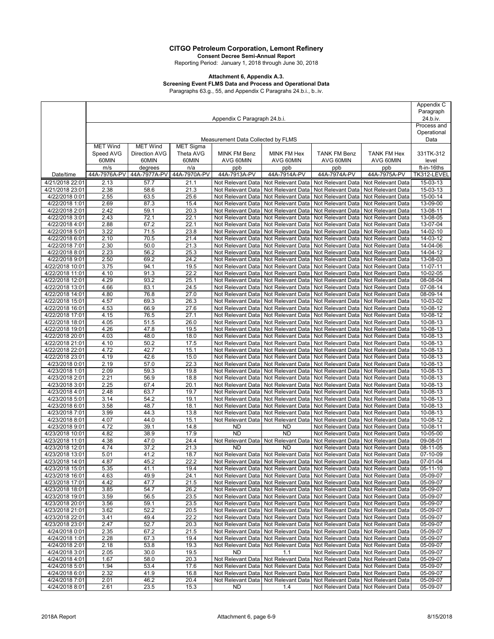**Consent Decree Semi-Annual Report** Reporting Period: January 1, 2018 through June 30, 2018

#### **Attachment 6, Appendix A.3.**

### **Screening Event FLMS Data and Process and Operational Data**

Paragraphs 63.g., 55, and Appendix C Paragrahs 24.b.i., b..iv.

|                                    |                              |                      |                  |                                        |                                                    |                                                                               |                                                                               | Appendix C           |
|------------------------------------|------------------------------|----------------------|------------------|----------------------------------------|----------------------------------------------------|-------------------------------------------------------------------------------|-------------------------------------------------------------------------------|----------------------|
|                                    |                              |                      |                  |                                        |                                                    |                                                                               | Paragraph                                                                     |                      |
|                                    | Appendix C Paragraph 24.b.i. |                      |                  |                                        |                                                    |                                                                               | 24.b.iv.                                                                      |                      |
|                                    |                              |                      |                  |                                        |                                                    |                                                                               | Process and<br>Operational                                                    |                      |
|                                    |                              |                      |                  | Measurement Data Collected by FLMS     |                                                    |                                                                               |                                                                               | Data                 |
|                                    | <b>MET Wind</b>              | <b>MET Wind</b>      | <b>MET Sigma</b> |                                        |                                                    |                                                                               |                                                                               |                      |
|                                    | Speed AVG                    | <b>Direction AVG</b> | Theta AVG        | MINK FM Benz                           | MINK FM Hex                                        | <b>TANK FM Benz</b>                                                           | <b>TANK FM Hex</b>                                                            | 331TK-312            |
|                                    | 60MIN                        | 60MIN                | 60MIN            | AVG 60MIN                              | AVG 60MIN                                          | AVG 60MIN                                                                     | AVG 60MIN                                                                     | level                |
|                                    | m/s                          | degrees              | n/a              | ppb                                    | ppb                                                | ppb                                                                           | ppb                                                                           | ft-in-16ths          |
| Date/time                          | 44A-7976A-PV                 | 44A-7977A-PV         | 44A-7970A-PV     | 44A-7913A-PV                           | 44A-7914A-PV                                       | 44A-7974A-PV                                                                  | 44A-7975A-PV                                                                  | TK312-LEVEL          |
| 4/21/2018 22:01                    | 2.13                         | 57.7                 | 21.1             | Not Relevant Data                      | Not Relevant Data                                  | Not Relevant Data                                                             | Not Relevant Data                                                             | 15-03-13             |
| 4/21/2018 23:01                    | 2.38                         | 58.6                 | 21.3             | Not Relevant Data                      | Not Relevant Data                                  | Not Relevant Data                                                             | Not Relevant Data                                                             | 15-03-13             |
| 4/22/2018 0:01                     | 2.55                         | 63.5                 | 25.6             | Not Relevant Data                      | Not Relevant Data                                  | Not Relevant Data                                                             | Not Relevant Data                                                             | 15-00-14             |
| 4/22/2018 1:01                     | 2.69                         | 87.3                 | 15.4             | Not Relevant Data                      | Not Relevant Data                                  | Not Relevant Data                                                             | Not Relevant Data                                                             | 13-09-00             |
| 4/22/2018 2:01                     | 2.42                         | 59.1                 | 20.3             | Not Relevant Data                      | Not Relevant Data                                  | Not Relevant Data                                                             | Not Relevant Data                                                             | 13-08-11             |
| 4/22/2018 3:01                     | 2.43                         | 72.1                 | 22.1             | Not Relevant Data                      | Not Relevant Data                                  | Not Relevant Data                                                             | Not Relevant Data                                                             | 13-08-05             |
| 4/22/2018 4:01                     | 2.88                         | 67.2                 | 22.1             | Not Relevant Data                      | Not Relevant Data                                  | Not Relevant Data                                                             | Not Relevant Data                                                             | 13-07-04             |
| 4/22/2018 5:01<br>4/22/2018 6:01   | 3.22<br>2.10                 | 71.5<br>70.5         | 23.8<br>21.4     | Not Relevant Data<br>Not Relevant Data | Not Relevant Data<br>Not Relevant Data             | Not Relevant Data<br>Not Relevant Data                                        | Not Relevant Data<br>Not Relevant Data                                        | 14-02-10<br>14-03-12 |
| 4/22/2018 7:01                     | 2.30                         | 50.0                 | 21.3             | Not Relevant Data                      | Not Relevant Data                                  | Not Relevant Data                                                             | Not Relevant Data                                                             | 14-04-06             |
| 4/22/2018 8:01                     | 2.23                         | 56.2                 | 25.3             | Not Relevant Data                      | Not Relevant Data                                  | Not Relevant Data                                                             | Not Relevant Data                                                             | 14-04-12             |
| 4/22/2018 9:01                     | 2.50                         | 69.2                 | 24.2             | Not Relevant Data                      | Not Relevant Data                                  | Not Relevant Data                                                             | Not Relevant Data                                                             | 13-08-03             |
| 4/22/2018 10:01                    | 3.75                         | 94.1                 | 19.5             | Not Relevant Data                      | Not Relevant Data                                  | Not Relevant Data                                                             | Not Relevant Data                                                             | 11-07-11             |
| 4/22/2018 11:01                    | 4.10                         | 91.3                 | 22.2             | Not Relevant Data                      | Not Relevant Data                                  | Not Relevant Data                                                             | Not Relevant Data                                                             | 10-02-05             |
| 4/22/2018 12:01                    | 4.29                         | 93.2                 | 25.1             | Not Relevant Data                      | Not Relevant Data                                  | Not Relevant Data                                                             | Not Relevant Data                                                             | 08-08-04             |
| 4/22/2018 13:01                    | 4.66                         | 83.1                 | 24.5             | Not Relevant Data                      | Not Relevant Data                                  | Not Relevant Data                                                             | Not Relevant Data                                                             | 07-08-14             |
| 4/22/2018 14:01                    | 4.80                         | 76.8                 | 27.0             | Not Relevant Data                      | Not Relevant Data                                  | Not Relevant Data                                                             | Not Relevant Data                                                             | 08-09-14             |
| 4/22/2018 15:01                    | 4.57                         | 69.3                 | 26.3             | Not Relevant Data                      | Not Relevant Data                                  | Not Relevant Data                                                             | Not Relevant Data                                                             | 10-03-02             |
| 4/22/2018 16:01                    | 4.53                         | 66.9                 | 27.6             | Not Relevant Data                      | Not Relevant Data                                  | Not Relevant Data                                                             | Not Relevant Data                                                             | 10-08-12             |
| 4/22/2018 17:01                    | 4.15                         | 76.5                 | 27.1             | Not Relevant Data                      | Not Relevant Data                                  | Not Relevant Data                                                             | Not Relevant Data                                                             | 10-08-12             |
| 4/22/2018 18:01                    | 4.05                         | 51.5                 | 26.0             | Not Relevant Data                      | Not Relevant Data                                  | Not Relevant Data                                                             | Not Relevant Data                                                             | 10-08-13             |
| 4/22/2018 19:01                    | 4.26                         | 47.8                 | 19.5             | Not Relevant Data                      | Not Relevant Data                                  | Not Relevant Data                                                             | Not Relevant Data                                                             | $10 - 08 - 13$       |
| 4/22/2018 20:01                    | 4.03                         | 48.0                 | 18.0             | Not Relevant Data                      | Not Relevant Data                                  | Not Relevant Data                                                             | Not Relevant Data                                                             | 10-08-13             |
| 4/22/2018 21:01<br>4/22/2018 22:01 | 4.10<br>4.72                 | 50.2<br>42.7         | 17.5<br>15.1     | Not Relevant Data<br>Not Relevant Data | Not Relevant Data<br>Not Relevant Data             | Not Relevant Data<br>Not Relevant Data                                        | Not Relevant Data<br>Not Relevant Data                                        | 10-08-13<br>10-08-13 |
| 4/22/2018 23:01                    | 4.19                         | 42.6                 | 15.0             | Not Relevant Data                      | Not Relevant Data                                  | Not Relevant Data                                                             | Not Relevant Data                                                             | 10-08-13             |
| 4/23/2018 0:01                     | 2.19                         | 57.0                 | 22.3             | Not Relevant Data                      | Not Relevant Data                                  | Not Relevant Data                                                             | Not Relevant Data                                                             | 10-08-13             |
| 4/23/2018 1:01                     | 2.09                         | 59.3                 | 19.8             | Not Relevant Data                      | Not Relevant Data                                  | Not Relevant Data                                                             | Not Relevant Data                                                             | 10-08-13             |
| 4/23/2018 2:01                     | 2.21                         | 56.9                 | 18.8             | Not Relevant Data                      | Not Relevant Data                                  | Not Relevant Data                                                             | Not Relevant Data                                                             | 10-08-13             |
| 4/23/2018 3:01                     | 2.25                         | 67.4                 | 20.1             | Not Relevant Data                      | Not Relevant Data                                  | Not Relevant Data                                                             | Not Relevant Data                                                             | 10-08-13             |
| 4/23/2018 4:01                     | 2.48                         | 63.7                 | 19.7             | Not Relevant Data                      | Not Relevant Data                                  | Not Relevant Data                                                             | Not Relevant Data                                                             | 10-08-13             |
| 4/23/2018 5:01                     | 3.14                         | 54.2                 | 19.1             | Not Relevant Data                      | Not Relevant Data                                  | Not Relevant Data                                                             | Not Relevant Data                                                             | 10-08-13             |
| 4/23/2018 6:01                     | 3.58                         | 48.7                 | 18.1             | Not Relevant Data                      | Not Relevant Data                                  | Not Relevant Data                                                             | Not Relevant Data                                                             | 10-08-13             |
| 4/23/2018 7:01                     | 3.99                         | 44.3                 | 13.8             | Not Relevant Data                      | Not Relevant Data                                  | Not Relevant Data                                                             | Not Relevant Data                                                             | 10-08-13             |
| 4/23/2018 8:01                     | 4.07                         | 44.0                 | 15.1             | Not Relevant Data                      | Not Relevant Data                                  | Not Relevant Data                                                             | Not Relevant Data                                                             | 10-08-12             |
| 4/23/2018 9:01                     | 4.72                         | 39.1                 | 14.8             | <b>ND</b>                              | <b>ND</b>                                          | Not Relevant Data                                                             | Not Relevant Data                                                             | 10-08-11             |
| 4/23/2018 10:01<br>4/23/2018 11:01 | 4.82<br>4.38                 | 38.9<br>47.0         | 17.9<br>24.4     | <b>ND</b>                              | <b>ND</b>                                          | Not Relevant Data                                                             | Not Relevant Data<br>Not Relevant Data                                        | 10-05-00<br>09-08-01 |
| 4/23/2018 12:01                    | 4.74                         | 37.2                 | 21.3             | <b>ND</b>                              | Not Relevant Data   Not Relevant Data<br><b>ND</b> | Not Relevant Data<br>Not Relevant Data                                        | Not Relevant Data                                                             | 08-11-05             |
| 4/23/2018 13:01                    | 5.01                         | 41.2                 | 18.7             |                                        |                                                    | Not Relevant Data   Not Relevant Data   Not Relevant Data   Not Relevant Data |                                                                               | 07-10-09             |
| 4/23/2018 14:01                    | 4.87                         | 45.2                 | 22.2             |                                        |                                                    |                                                                               | Not Relevant Data   Not Relevant Data   Not Relevant Data   Not Relevant Data | 07-01-04             |
| 4/23/2018 15:01                    | 5.35                         | 41.1                 | 19.4             |                                        |                                                    | Not Relevant Data   Not Relevant Data   Not Relevant Data   Not Relevant Data |                                                                               | $05-11-10$           |
| 4/23/2018 16:01                    | 4.63                         | 49.9                 | 24.1             | Not Relevant Data                      | Not Relevant Data                                  | Not Relevant Data                                                             | Not Relevant Data                                                             | 05-09-07             |
| 4/23/2018 17:01                    | 4.42                         | 47.7                 | 21.5             | Not Relevant Data                      | Not Relevant Data                                  | Not Relevant Data                                                             | Not Relevant Data                                                             | 05-09-07             |
| 4/23/2018 18:01                    | 3.85                         | 54.7                 | 26.2             | Not Relevant Data                      | Not Relevant Data                                  | Not Relevant Data                                                             | Not Relevant Data                                                             | 05-09-07             |
| 4/23/2018 19:01                    | 3.59                         | 56.5                 | 23.5             | Not Relevant Data                      | Not Relevant Data                                  | Not Relevant Data                                                             | Not Relevant Data                                                             | 05-09-07             |
| 4/23/2018 20:01                    | 3.56                         | 59.1                 | 23.5             |                                        | Not Relevant Data Not Relevant Data                | Not Relevant Data                                                             | Not Relevant Data                                                             | 05-09-07             |
| 4/23/2018 21:01                    | 3.62                         | 52.2                 | 20.5             | Not Relevant Data                      | Not Relevant Data                                  | Not Relevant Data                                                             | Not Relevant Data                                                             | 05-09-07             |
| 4/23/2018 22:01                    | 3.41                         | 49.4                 | 22.2             | Not Relevant Data                      | Not Relevant Data                                  | Not Relevant Data                                                             | Not Relevant Data                                                             | 05-09-07             |
| 4/23/2018 23:01                    | 2.47                         | 52.7<br>67.2         | 20.3             | Not Relevant Data                      | Not Relevant Data                                  | Not Relevant Data                                                             | Not Relevant Data                                                             | 05-09-07             |
| 4/24/2018 0:01<br>4/24/2018 1:01   | 2.35<br>2.28                 | 67.3                 | 21.5<br>19.4     | Not Relevant Data<br>Not Relevant Data | Not Relevant Data<br>Not Relevant Data             | Not Relevant Data                                                             | Not Relevant Data   Not Relevant Data<br>Not Relevant Data                    | 05-09-07<br>05-09-07 |
| 4/24/2018 2:01                     | 2.18                         | 53.8                 | 19.3             | Not Relevant Data                      | Not Relevant Data                                  | Not Relevant Data                                                             | Not Relevant Data                                                             | 05-09-07             |
| 4/24/2018 3:01                     | 2.05                         | 30.0                 | 19.5             | <b>ND</b>                              | 1.1                                                | Not Relevant Data                                                             | Not Relevant Data                                                             | 05-09-07             |
| 4/24/2018 4:01                     | 1.67                         | 58.0                 | 20.3             | Not Relevant Data                      | Not Relevant Data                                  | Not Relevant Data                                                             | Not Relevant Data                                                             | 05-09-07             |
| 4/24/2018 5:01                     | 1.94                         | 53.4                 | 17.6             |                                        | Not Relevant Data Not Relevant Data                | Not Relevant Data                                                             | Not Relevant Data                                                             | 05-09-07             |
| 4/24/2018 6:01                     | 2.32                         | 41.9                 | 16.8             |                                        | Not Relevant Data   Not Relevant Data              | Not Relevant Data   Not Relevant Data                                         |                                                                               | 05-09-07             |
| 4/24/2018 7:01                     | 2.01                         | 46.2                 | 20.4             | Not Relevant Data                      | Not Relevant Data                                  | Not Relevant Data   Not Relevant Data                                         |                                                                               | 05-09-07             |
| 4/24/2018 8:01                     | 2.61                         | 23.5                 | 15.3             | <b>ND</b>                              | 1.4                                                |                                                                               | Not Relevant Data   Not Relevant Data                                         | 05-09-07             |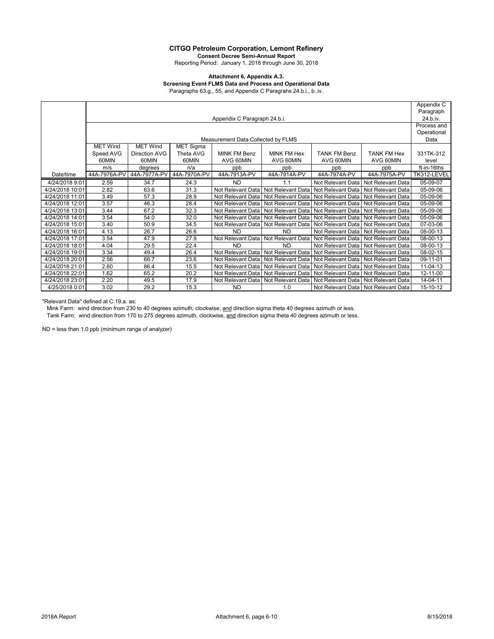**Consent Decree Semi-Annual Report** Reporting Period: January 1, 2018 through June 30, 2018

#### **Attachment 6, Appendix A.3.**

### **Screening Event FLMS Data and Process and Operational Data**

Paragraphs 63.g., 55, and Appendix C Paragrahs 24.b.i., b..iv.

|                 |                 |                              |                  |                                    |                                       |                                     |                                       | Appendix C            |
|-----------------|-----------------|------------------------------|------------------|------------------------------------|---------------------------------------|-------------------------------------|---------------------------------------|-----------------------|
|                 |                 |                              |                  |                                    |                                       |                                     |                                       | Paragraph<br>24.b.iv. |
|                 |                 | Appendix C Paragraph 24.b.i. |                  |                                    |                                       |                                     |                                       |                       |
|                 |                 |                              |                  |                                    |                                       |                                     |                                       | Process and           |
|                 |                 |                              |                  |                                    |                                       |                                     |                                       | Operational           |
|                 |                 |                              |                  | Measurement Data Collected by FLMS |                                       |                                     |                                       | Data                  |
|                 | <b>MET Wind</b> | <b>MET Wind</b>              | <b>MET Sigma</b> |                                    |                                       |                                     |                                       |                       |
|                 | Speed AVG       | Direction AVG                | Theta AVG        | <b>MINK FM Benz</b>                | <b>MINK FM Hex</b>                    | <b>TANK FM Benz</b>                 | <b>TANK FM Hex</b>                    | 331TK-312             |
|                 | 60MIN           | 60MIN                        | 60MIN            | AVG 60MIN                          | AVG 60MIN                             | AVG 60MIN                           | AVG 60MIN                             | level                 |
|                 | m/s             | degrees                      | n/a              | ppb                                | ppb                                   | ppb                                 | ppb                                   | ft-in-16ths           |
| Date/time       | 44A-7976A-PV    | 44A-7977A-PV                 | 44A-7970A-PV     | 44A-7913A-PV                       | 44A-7914A-PV                          | 44A-7974A-PV                        | 44A-7975A-PV                          | TK312-LEVEL           |
| 4/24/2018 9:01  | 2.59            | 34.7                         | 24.3             | <b>ND</b>                          | 1.1                                   | Not Relevant Data                   | Not Relevant Data                     | 05-09-07              |
| 4/24/2018 10:01 | 2.82            | 63.6                         | 31.3             | Not Relevant Data                  | Not Relevant Data                     | Not Relevant Data                   | Not Relevant Data                     | 05-09-06              |
| 4/24/2018 11:01 | 3.49            | 57.3                         | 28.9             | Not Relevant Data                  | Not Relevant Data                     | Not Relevant Data Not Relevant Data |                                       | 05-09-06              |
| 4/24/2018 12:01 | 3.57            | 46.3                         | 28.4             |                                    | Not Relevant Data Not Relevant Data   |                                     | Not Relevant Data Not Relevant Data   | 05-09-06              |
| 4/24/2018 13:01 | 3.44            | 67.2                         | 32.3             | Not Relevant Data                  | Not Relevant Data                     | Not Relevant Data Not Relevant Data |                                       | 05-09-06              |
| 4/24/2018 14:01 | 3.54            | 54.0                         | 32.0             | Not Relevant Data                  | Not Relevant Data                     |                                     | Not Relevant Data   Not Relevant Data | 05-09-06              |
| 4/24/2018 15:01 | 3.40            | 50.9                         | 34.5             | Not Relevant Data                  | Not Relevant Data                     | Not Relevant Data Not Relevant Data |                                       | 07-03-06              |
| 4/24/2018 16:01 | 4.13            | 26.7                         | 26.6             | <b>ND</b>                          | <b>ND</b>                             |                                     | Not Relevant Data Not Relevant Data   | 08-00-13              |
| 4/24/2018 17:01 | 3.54            | 47.9                         | 27.9             | Not Relevant Data                  | Not Relevant Data                     |                                     | Not Relevant Data   Not Relevant Data | 08-00-13              |
| 4/24/2018 18:01 | 4.04            | 29.5                         | 22.4             | <b>ND</b>                          | <b>ND</b>                             |                                     | Not Relevant Data   Not Relevant Data | 08-00-13              |
| 4/24/2018 19:01 | 3.34            | 49.4                         | 26.4             |                                    | Not Relevant Data   Not Relevant Data |                                     | Not Relevant Data Not Relevant Data   | 08-02-15              |
| 4/24/2018 20:01 | 2.56            | 66.7                         | 23.6             |                                    | Not Relevant Data Not Relevant Data   |                                     | Not Relevant Data Not Relevant Data   | 09-11-01              |
| 4/24/2018 21:01 | 2.60            | 86.4                         | 15.5             | Not Relevant Data                  | Not Relevant Data                     |                                     | Not Relevant Data   Not Relevant Data | 11-04-13              |
| 4/24/2018 22:01 | 1.62            | 65.2                         | 20.2             | Not Relevant Data                  | Not Relevant Data                     |                                     | Not Relevant Data   Not Relevant Data | 12-11-00              |
| 4/24/2018 23:01 | 2.20            | 49.5                         | 17.9             | Not Relevant Data                  | Not Relevant Data                     |                                     | Not Relevant Data   Not Relevant Data | 14-04-11              |
| 4/25/2018 0:01  | 3.02            | 29.2                         | 15.3             | <b>ND</b>                          | 1.0                                   |                                     | Not Relevant Data   Not Relevant Data | 15-10-12              |

"Relevant Data" defined at C.19.a. as:

Mink Farm: wind direction from 230 to 40 degrees azimuth, clockwise, and direction sigma theta 40 degrees azimuth or less. Tank Farm: wind direction from 170 to 275 degrees azimuth, clockwise, and direction sigma theta 40 degrees azimuth or less.

ND = less than 1.0 ppb (minimum range of analyzer)